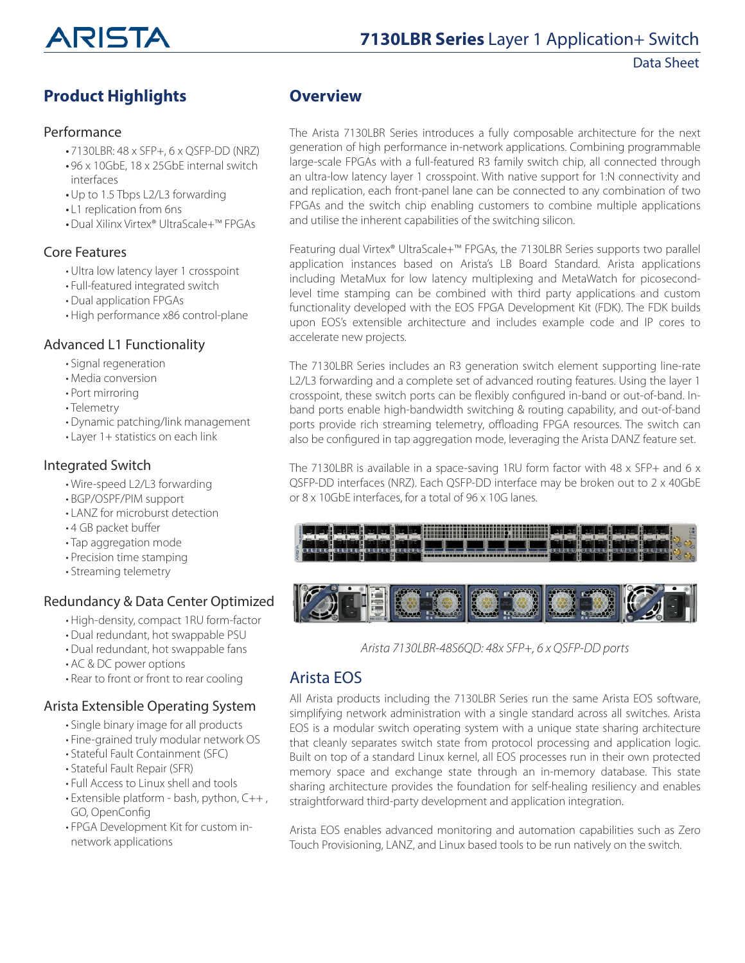

# **Product Highlights**

#### Performance

- 7130LBR: 48 x SFP+, 6 x QSFP-DD (NRZ)
- 96 x 10GbE, 18 x 25GbE internal switch interfaces
- •Up to 1.5 Tbps L2/L3 forwarding
- L1 replication from 6ns
- •Dual Xilinx Virtex® UltraScale+™ FPGAs

#### Core Features

- Ultra low latency layer 1 crosspoint
- Full-featured integrated switch
- Dual application FPGAs
- High performance x86 control-plane

#### Advanced L1 Functionality

- Signal regeneration
- Media conversion
- Port mirroring
- Telemetry
- Dynamic patching/link management
- Layer 1+ statistics on each link

#### Integrated Switch

- Wire-speed L2/L3 forwarding
- BGP/OSPF/PIM support
- LANZ for microburst detection
- 4 GB packet buffer
- Tap aggregation mode
- Precision time stamping
- Streaming telemetry

#### Redundancy & Data Center Optimized

- High-density, compact 1RU form-factor
- Dual redundant, hot swappable PSU
- Dual redundant, hot swappable fans
- AC & DC power options
- Rear to front or front to rear cooling

#### Arista Extensible Operating System

- Single binary image for all products
- Fine-grained truly modular network OS
- Stateful Fault Containment (SFC)
- Stateful Fault Repair (SFR)
- Full Access to Linux shell and tools
- Extensible platform bash, python, C++ , GO, OpenConfig
- FPGA Development Kit for custom innetwork applications

#### **Overview**

The Arista 7130LBR Series introduces a fully composable architecture for the next generation of high performance in-network applications. Combining programmable large-scale FPGAs with a full-featured R3 family switch chip, all connected through an ultra-low latency layer 1 crosspoint. With native support for 1:N connectivity and and replication, each front-panel lane can be connected to any combination of two FPGAs and the switch chip enabling customers to combine multiple applications and utilise the inherent capabilities of the switching silicon.

Featuring dual Virtex® UltraScale+™ FPGAs, the 7130LBR Series supports two parallel application instances based on Arista's LB Board Standard. Arista applications including MetaMux for low latency multiplexing and MetaWatch for picosecondlevel time stamping can be combined with third party applications and custom functionality developed with the EOS FPGA Development Kit (FDK). The FDK builds upon EOS's extensible architecture and includes example code and IP cores to accelerate new projects.

The 7130LBR Series includes an R3 generation switch element supporting line-rate L2/L3 forwarding and a complete set of advanced routing features. Using the layer 1 crosspoint, these switch ports can be flexibly configured in-band or out-of-band. Inband ports enable high-bandwidth switching & routing capability, and out-of-band ports provide rich streaming telemetry, offloading FPGA resources. The switch can also be configured in tap aggregation mode, leveraging the Arista DANZ feature set.

The 7130LBR is available in a space-saving 1RU form factor with 48 x SFP+ and 6 x QSFP-DD interfaces (NRZ). Each QSFP-DD interface may be broken out to 2 x 40GbE or 8 x 10GbE interfaces, for a total of 96 x 10G lanes.





*Arista 7130LBR-48S6QD: 48x SFP+, 6 x QSFP-DD ports*

#### Arista EOS

All Arista products including the 7130LBR Series run the same Arista EOS software, simplifying network administration with a single standard across all switches. Arista EOS is a modular switch operating system with a unique state sharing architecture that cleanly separates switch state from protocol processing and application logic. Built on top of a standard Linux kernel, all EOS processes run in their own protected memory space and exchange state through an in-memory database. This state sharing architecture provides the foundation for self-healing resiliency and enables straightforward third-party development and application integration.

Arista EOS enables advanced monitoring and automation capabilities such as Zero Touch Provisioning, LANZ, and Linux based tools to be run natively on the switch.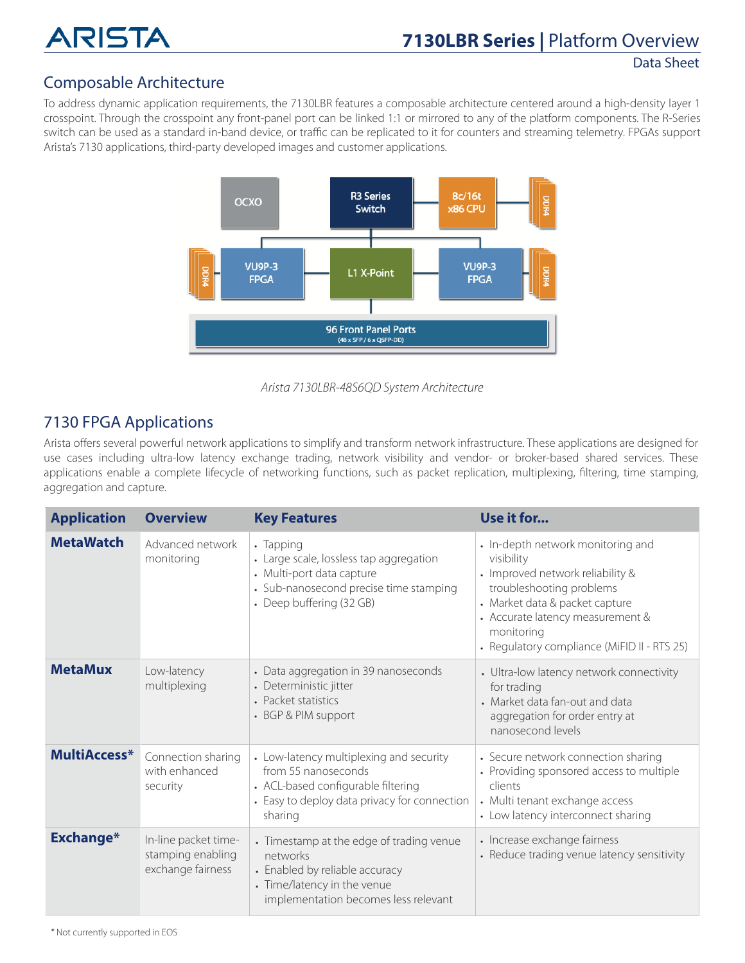

#### Composable Architecture

To address dynamic application requirements, the 7130LBR features a composable architecture centered around a high-density layer 1 crosspoint. Through the crosspoint any front-panel port can be linked 1:1 or mirrored to any of the platform components. The R-Series switch can be used as a standard in-band device, or traffic can be replicated to it for counters and streaming telemetry. FPGAs support Arista's 7130 applications, third-party developed images and customer applications.



*Arista 7130LBR-48S6QD System Architecture*

#### 7130 FPGA Applications

Arista offers several powerful network applications to simplify and transform network infrastructure. These applications are designed for use cases including ultra-low latency exchange trading, network visibility and vendor- or broker-based shared services. These applications enable a complete lifecycle of networking functions, such as packet replication, multiplexing, filtering, time stamping, aggregation and capture.

| <b>Application</b> | <b>Overview</b>                                                | <b>Key Features</b>                                                                                                                                             | Use it for                                                                                                                                                                                                                                         |
|--------------------|----------------------------------------------------------------|-----------------------------------------------------------------------------------------------------------------------------------------------------------------|----------------------------------------------------------------------------------------------------------------------------------------------------------------------------------------------------------------------------------------------------|
| <b>MetaWatch</b>   | Advanced network<br>monitoring                                 | • Tapping<br>• Large scale, lossless tap aggregation<br>• Multi-port data capture<br>• Sub-nanosecond precise time stamping<br>• Deep buffering (32 GB)         | • In-depth network monitoring and<br>visibility<br>• Improved network reliability &<br>troubleshooting problems<br>• Market data & packet capture<br>• Accurate latency measurement &<br>monitoring<br>• Regulatory compliance (MiFID II - RTS 25) |
| <b>MetaMux</b>     | Low-latency<br>multiplexing                                    | • Data aggregation in 39 nanoseconds<br>• Deterministic jitter<br>• Packet statistics<br>• BGP & PIM support                                                    | • Ultra-low latency network connectivity<br>for trading<br>• Market data fan-out and data<br>aggregation for order entry at<br>nanosecond levels                                                                                                   |
| MultiAccess*       | Connection sharing<br>with enhanced<br>security                | • Low-latency multiplexing and security<br>from 55 nanoseconds<br>• ACL-based configurable filtering<br>• Easy to deploy data privacy for connection<br>sharing | • Secure network connection sharing<br>• Providing sponsored access to multiple<br>clients<br>• Multi tenant exchange access<br>• Low latency interconnect sharing                                                                                 |
| <b>Exchange*</b>   | In-line packet time-<br>stamping enabling<br>exchange fairness | • Timestamp at the edge of trading venue<br>networks<br>• Enabled by reliable accuracy<br>• Time/latency in the venue<br>implementation becomes less relevant   | • Increase exchange fairness<br>• Reduce trading venue latency sensitivity                                                                                                                                                                         |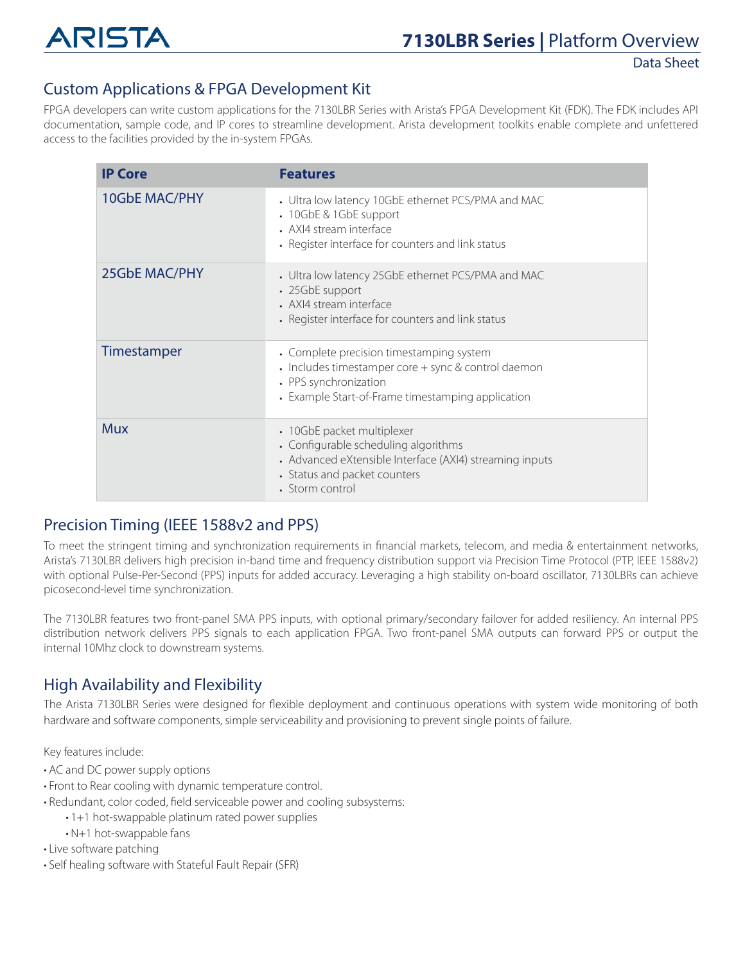

# Custom Applications & FPGA Development Kit

FPGA developers can write custom applications for the 7130LBR Series with Arista's FPGA Development Kit (FDK). The FDK includes API documentation, sample code, and IP cores to streamline development. Arista development toolkits enable complete and unfettered access to the facilities provided by the in-system FPGAs.

| <b>IP Core</b>       | <b>Features</b>                                                                                                                                                                  |
|----------------------|----------------------------------------------------------------------------------------------------------------------------------------------------------------------------------|
| <b>10GbE MAC/PHY</b> | • Ultra low latency 10GbE ethernet PCS/PMA and MAC<br>• 10GbE & 1GbE support<br>• AXI4 stream interface<br>• Register interface for counters and link status                     |
| 25GbE MAC/PHY        | • Ultra low latency 25GbE ethernet PCS/PMA and MAC<br>• 25GbE support<br>• AXI4 stream interface<br>• Register interface for counters and link status                            |
| Timestamper          | • Complete precision timestamping system<br>• Includes timestamper core + sync & control daemon<br>• PPS synchronization<br>• Example Start-of-Frame timestamping application    |
| <b>Mux</b>           | • 10GbE packet multiplexer<br>• Configurable scheduling algorithms<br>• Advanced eXtensible Interface (AXI4) streaming inputs<br>• Status and packet counters<br>• Storm control |

#### Precision Timing (IEEE 1588v2 and PPS)

To meet the stringent timing and synchronization requirements in financial markets, telecom, and media & entertainment networks, Arista's 7130LBR delivers high precision in-band time and frequency distribution support via Precision Time Protocol (PTP, IEEE 1588v2) with optional Pulse-Per-Second (PPS) inputs for added accuracy. Leveraging a high stability on-board oscillator, 7130LBRs can achieve picosecond-level time synchronization.

The 7130LBR features two front-panel SMA PPS inputs, with optional primary/secondary failover for added resiliency. An internal PPS distribution network delivers PPS signals to each application FPGA. Two front-panel SMA outputs can forward PPS or output the internal 10Mhz clock to downstream systems.

#### High Availability and Flexibility

The Arista 7130LBR Series were designed for flexible deployment and continuous operations with system wide monitoring of both hardware and software components, simple serviceability and provisioning to prevent single points of failure.

Key features include:

- AC and DC power supply options
- Front to Rear cooling with dynamic temperature control.
- Redundant, color coded, field serviceable power and cooling subsystems:
	- 1+1 hot-swappable platinum rated power supplies
	- N+1 hot-swappable fans
- Live software patching
- Self healing software with Stateful Fault Repair (SFR)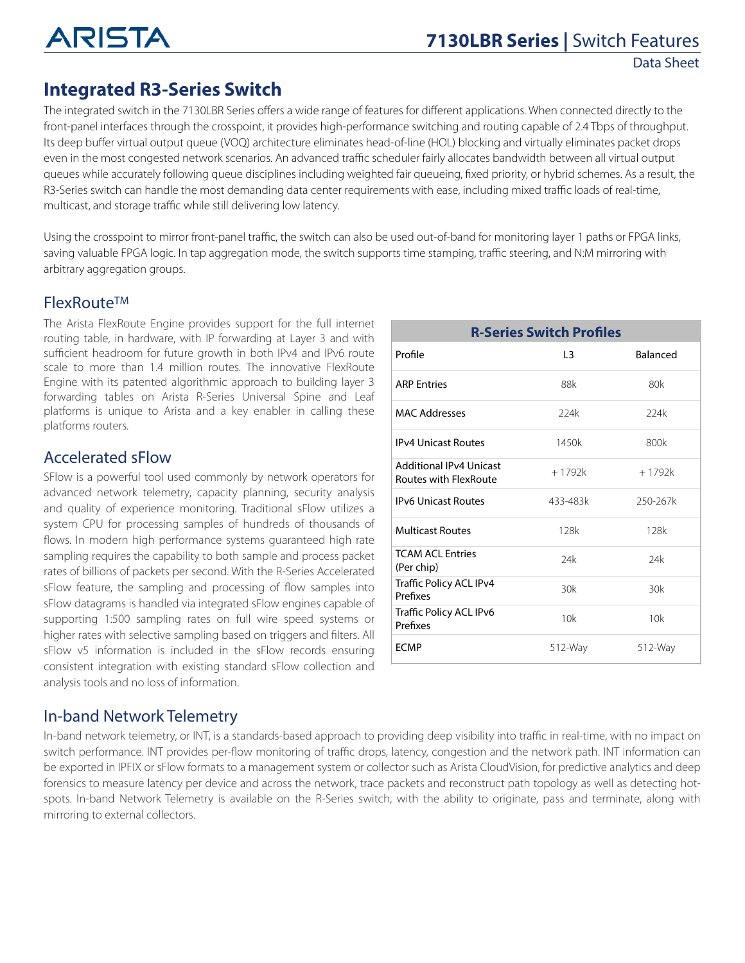

# **Integrated R3-Series Switch**

The integrated switch in the 7130LBR Series offers a wide range of features for different applications. When connected directly to the front-panel interfaces through the crosspoint, it provides high-performance switching and routing capable of 2.4 Tbps of throughput. Its deep buffer virtual output queue (VOQ) architecture eliminates head-of-line (HOL) blocking and virtually eliminates packet drops even in the most congested network scenarios. An advanced traffic scheduler fairly allocates bandwidth between all virtual output queues while accurately following queue disciplines including weighted fair queueing, fixed priority, or hybrid schemes. As a result, the R3-Series switch can handle the most demanding data center requirements with ease, including mixed traffic loads of real-time, multicast, and storage traffic while still delivering low latency.

Using the crosspoint to mirror front-panel traffic, the switch can also be used out-of-band for monitoring layer 1 paths or FPGA links, saving valuable FPGA logic. In tap aggregation mode, the switch supports time stamping, traffic steering, and N:M mirroring with arbitrary aggregation groups.

#### FlexRouteTM

The Arista FlexRoute Engine provides support for the full internet routing table, in hardware, with IP forwarding at Layer 3 and with sufficient headroom for future growth in both IPv4 and IPv6 route scale to more than 1.4 million routes. The innovative FlexRoute Engine with its patented algorithmic approach to building layer 3 forwarding tables on Arista R-Series Universal Spine and Leaf platforms is unique to Arista and a key enabler in calling these platforms routers.

#### Accelerated sFlow

SFlow is a powerful tool used commonly by network operators for advanced network telemetry, capacity planning, security analysis and quality of experience monitoring. Traditional sFlow utilizes a system CPU for processing samples of hundreds of thousands of flows. In modern high performance systems guaranteed high rate sampling requires the capability to both sample and process packet rates of billions of packets per second. With the R-Series Accelerated sFlow feature, the sampling and processing of flow samples into sFlow datagrams is handled via integrated sFlow engines capable of supporting 1:500 sampling rates on full wire speed systems or higher rates with selective sampling based on triggers and filters. All sFlow v5 information is included in the sFlow records ensuring consistent integration with existing standard sFlow collection and analysis tools and no loss of information.

| <b>R-Series Switch Profiles</b>                         |          |                 |
|---------------------------------------------------------|----------|-----------------|
| Profile                                                 | 13       | <b>Balanced</b> |
| <b>ARP Entries</b>                                      | 88k      | 80k             |
| MAC Addresses                                           | 224k     | 224k            |
| <b>IPv4 Unicast Routes</b>                              | 1450k    | 800k            |
| <b>Additional IPv4 Unicast</b><br>Routes with FlexRoute | $+1792k$ | $+1792k$        |
| <b>IPv6 Unicast Routes</b>                              | 433-483k | 250-267k        |
| <b>Multicast Routes</b>                                 | 128k     | 128k            |
| <b>TCAM ACL Entries</b><br>(Per chip)                   | 24k      | 24k             |
| Traffic Policy ACL IPv4<br>Prefixes                     | 30k      | 30k             |
| Traffic Policy ACL IPv6<br>Prefixes                     | 10k      | 10k             |
| <b>FCMP</b>                                             | 512-Way  | $512-Way$       |

#### In-band Network Telemetry

In-band network telemetry, or INT, is a standards-based approach to providing deep visibility into traffic in real-time, with no impact on switch performance. INT provides per-flow monitoring of traffic drops, latency, congestion and the network path. INT information can be exported in IPFIX or sFlow formats to a management system or collector such as Arista CloudVision, for predictive analytics and deep forensics to measure latency per device and across the network, trace packets and reconstruct path topology as well as detecting hotspots. In-band Network Telemetry is available on the R-Series switch, with the ability to originate, pass and terminate, along with mirroring to external collectors.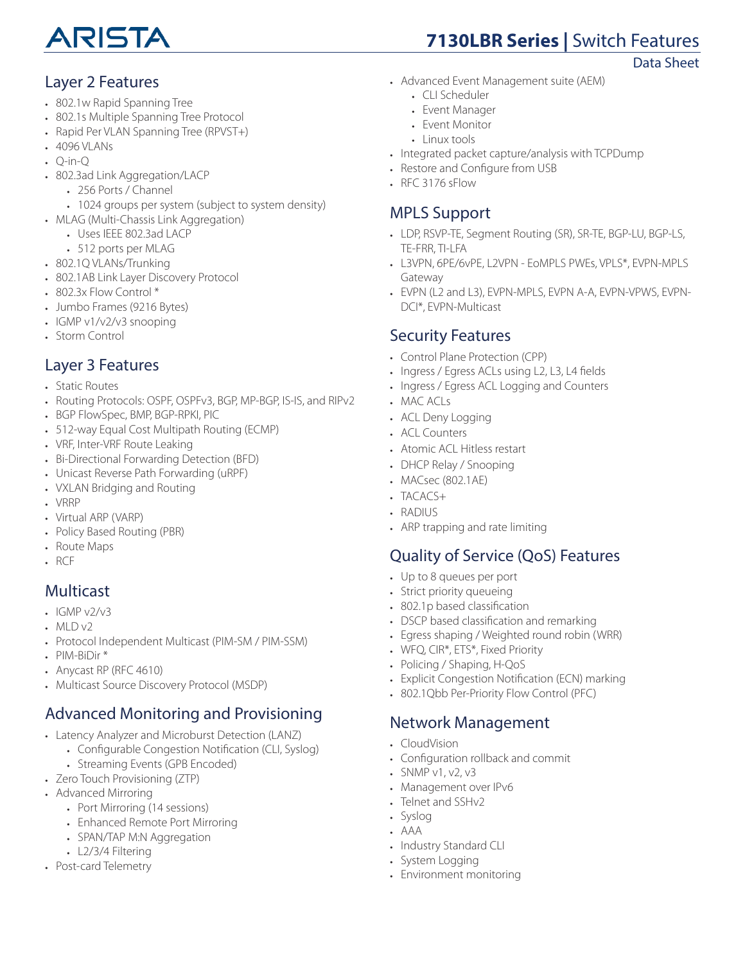

# **7130LBR Series |** Switch Features

Data Sheet

#### Layer 2 Features

- 802.1w Rapid Spanning Tree
- 802.1s Multiple Spanning Tree Protocol
- Rapid Per VLAN Spanning Tree (RPVST+)
- 4096 VLANs
- $\cdot$  O-in-O
- 802.3ad Link Aggregation/LACP
	- 256 Ports / Channel
	- 1024 groups per system (subject to system density)
- MLAG (Multi-Chassis Link Aggregation)
	- Uses IEEE 802.3ad LACP
	- 512 ports per MLAG
- 802.1Q VLANs/Trunking
- 802.1AB Link Layer Discovery Protocol
- 802.3x Flow Control \*
- Jumbo Frames (9216 Bytes)
- IGMP v1/v2/v3 snooping
- Storm Control

## Layer 3 Features

- Static Routes
- Routing Protocols: OSPF, OSPFv3, BGP, MP-BGP, IS-IS, and RIPv2
- BGP FlowSpec, BMP, BGP-RPKI, PIC
- 512-way Equal Cost Multipath Routing (ECMP)
- VRF, Inter-VRF Route Leaking
- Bi-Directional Forwarding Detection (BFD)
- Unicast Reverse Path Forwarding (uRPF)
- VXLAN Bridging and Routing
- VRRP
- Virtual ARP (VARP)
- Policy Based Routing (PBR)
- Route Maps
- RCF

#### Multicast

- $\cdot$  IGMP v2/v3
- MLD v2
- Protocol Independent Multicast (PIM-SM / PIM-SSM)
- PIM-BiDir \*
- Anycast RP (RFC 4610)
- Multicast Source Discovery Protocol (MSDP)

# Advanced Monitoring and Provisioning

- Latency Analyzer and Microburst Detection (LANZ)
	- Configurable Congestion Notification (CLI, Syslog)
	- Streaming Events (GPB Encoded)
- Zero Touch Provisioning (ZTP)
- Advanced Mirroring
	- Port Mirroring (14 sessions)
	- Enhanced Remote Port Mirroring
	- SPAN/TAP M:N Aggregation
	- L2/3/4 Filtering
- Post-card Telemetry
- Advanced Event Management suite (AEM)
	- CLI Scheduler
	- Event Manager
	- Event Monitor
	- Linux tools
- Integrated packet capture/analysis with TCPDump
- Restore and Configure from USB
- RFC 3176 sFlow

# MPLS Support

- LDP, RSVP-TE, Segment Routing (SR), SR-TE, BGP-LU, BGP-LS, TE-FRR, TI-LFA
- L3VPN, 6PE/6vPE, L2VPN EoMPLS PWEs, VPLS\*, EVPN-MPLS Gateway
- EVPN (L2 and L3), EVPN-MPLS, EVPN A-A, EVPN-VPWS, EVPN-DCI\*, EVPN-Multicast

#### Security Features

- Control Plane Protection (CPP)
- Ingress / Egress ACLs using L2, L3, L4 fields
- Ingress / Egress ACL Logging and Counters
- MAC ACLs
- ACL Deny Logging
- ACL Counters
- Atomic ACL Hitless restart
- DHCP Relay / Snooping
- MACsec (802.1AE)
- TACACS+
- RADIUS
- ARP trapping and rate limiting

#### Quality of Service (QoS) Features

- Up to 8 queues per port
- Strict priority queueing
- 802.1p based classification
- DSCP based classification and remarking
- Egress shaping / Weighted round robin (WRR)
- WFQ, CIR\*, ETS\*, Fixed Priority
- Policing / Shaping, H-QoS
- Explicit Congestion Notification (ECN) marking
- 802.1Qbb Per-Priority Flow Control (PFC)

#### Network Management

- CloudVision
- Configuration rollback and commit
- SNMP  $v1, v2, v3$
- Management over IPv6
- Telnet and SSHv2
- Syslog
- AAA
- Industry Standard CLI
- System Logging
- Environment monitoring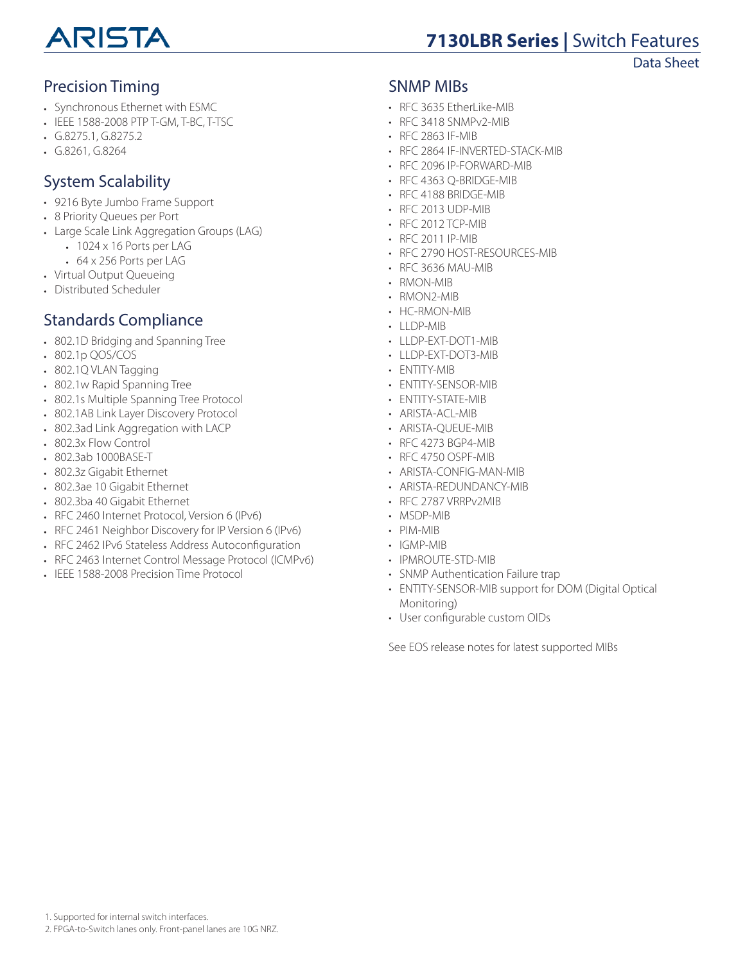

# **7130LBR Series |** Switch Features

Data Sheet

# Precision Timing

- Synchronous Ethernet with ESMC
- IEEE 1588-2008 PTP T-GM, T-BC, T-TSC
- G.8275.1, G.8275.2
- G.8261, G.8264

# System Scalability

- 9216 Byte Jumbo Frame Support
- 8 Priority Queues per Port
- Large Scale Link Aggregation Groups (LAG)
	- 1024 x 16 Ports per LAG
	- 64 x 256 Ports per LAG
- Virtual Output Queueing
- Distributed Scheduler

# Standards Compliance

- 802.1D Bridging and Spanning Tree
- 802.1p QOS/COS
- 802.1Q VLAN Tagging
- 802.1w Rapid Spanning Tree
- 802.1s Multiple Spanning Tree Protocol
- 802.1AB Link Layer Discovery Protocol
- 802.3ad Link Aggregation with LACP
- 802.3x Flow Control
- 802.3ab 1000BASE-T
- 802.3z Gigabit Ethernet
- 802.3ae 10 Gigabit Ethernet
- 802.3ba 40 Gigabit Ethernet
- RFC 2460 Internet Protocol, Version 6 (IPv6)
- RFC 2461 Neighbor Discovery for IP Version 6 (IPv6)
- RFC 2462 IPv6 Stateless Address Autoconfiguration
- RFC 2463 Internet Control Message Protocol (ICMPv6)
- IEEE 1588-2008 Precision Time Protocol

#### SNMP MIBs

- RFC 3635 EtherLike-MIB
- RFC 3418 SNMPv2-MIB
- RFC 2863 IF-MIB
- RFC 2864 IF-INVERTED-STACK-MIB
- RFC 2096 IP-FORWARD-MIB
- RFC 4363 Q-BRIDGE-MIB
- RFC 4188 BRIDGE-MIB
- RFC 2013 UDP-MIB
- RFC 2012 TCP-MIB
- RFC 2011 IP-MIB
- RFC 2790 HOST-RESOURCES-MIB
- RFC 3636 MAU-MIB
- RMON-MIB
- RMON2-MIB
- HC-RMON-MIB
- LLDP-MIB
- LLDP-EXT-DOT1-MIB
- LLDP-EXT-DOT3-MIB
- ENTITY-MIB
- ENTITY-SENSOR-MIB
- ENTITY-STATE-MIB
- ARISTA-ACL-MIB
- ARISTA-QUEUE-MIB
- RFC 4273 BGP4-MIB
- RFC 4750 OSPF-MIB
- ARISTA-CONFIG-MAN-MIB
- ARISTA-REDUNDANCY-MIB
- RFC 2787 VRRPv2MIB
- MSDP-MIB
- PIM-MIB
- IGMP-MIB
- IPMROUTE-STD-MIB
- SNMP Authentication Failure trap
- ENTITY-SENSOR-MIB support for DOM (Digital Optical Monitoring)
- User configurable custom OIDs

See EOS release notes for latest supported MIBs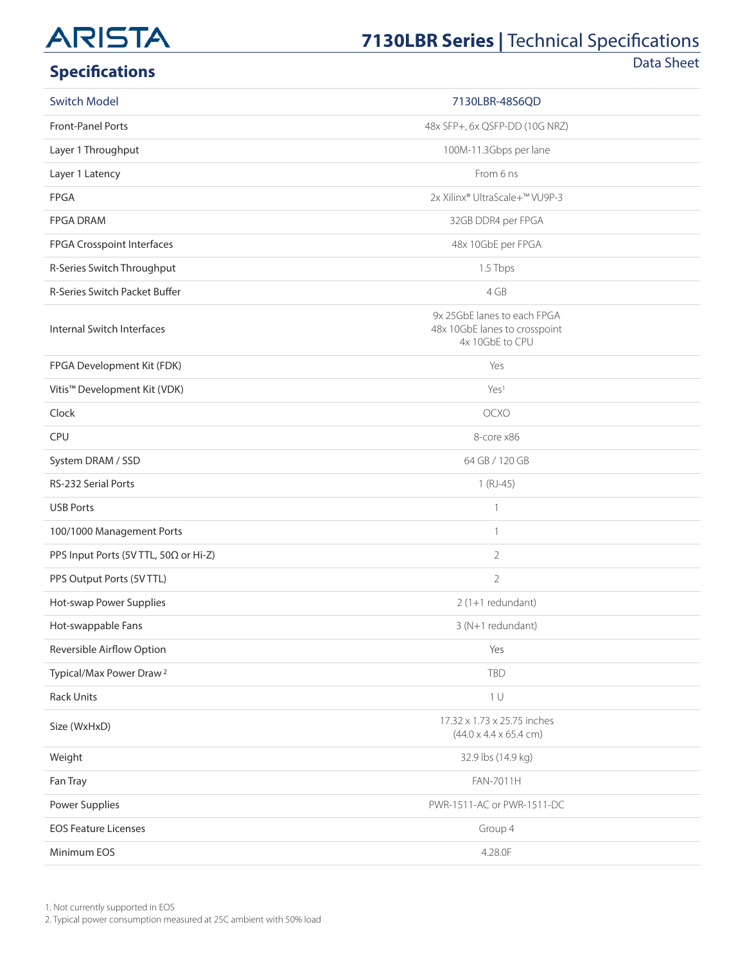# **7130LBR Series | Technical Specifications**

# **Specifications**

Data Sheet

| <b>Switch Model</b>                   | 7130LBR-48S6QD                                                                  |  |
|---------------------------------------|---------------------------------------------------------------------------------|--|
| Front-Panel Ports                     | 48x SFP+, 6x QSFP-DD (10G NRZ)                                                  |  |
| Layer 1 Throughput                    | 100M-11.3Gbps per lane                                                          |  |
| Layer 1 Latency                       | From 6 ns                                                                       |  |
| <b>FPGA</b>                           | 2x Xilinx® UltraScale+™ VU9P-3                                                  |  |
| <b>FPGA DRAM</b>                      | 32GB DDR4 per FPGA                                                              |  |
| FPGA Crosspoint Interfaces            | 48x 10GbE per FPGA                                                              |  |
| R-Series Switch Throughput            | 1.5 Tbps                                                                        |  |
| R-Series Switch Packet Buffer         | 4 GB                                                                            |  |
| Internal Switch Interfaces            | 9x 25GbE lanes to each FPGA<br>48x 10GbE lanes to crosspoint<br>4x 10GbE to CPU |  |
| FPGA Development Kit (FDK)            | Yes                                                                             |  |
| Vitis™ Development Kit (VDK)          | Yes <sup>1</sup>                                                                |  |
| Clock                                 | OCXO                                                                            |  |
| CPU                                   | 8-core x86                                                                      |  |
| System DRAM / SSD                     | 64 GB / 120 GB                                                                  |  |
| RS-232 Serial Ports                   | $1(RJ-45)$                                                                      |  |
| <b>USB Ports</b>                      | $\mathbf{1}$                                                                    |  |
| 100/1000 Management Ports             | $\mathbf{1}$                                                                    |  |
| PPS Input Ports (5V TTL, 50Ω or Hi-Z) | $\overline{2}$                                                                  |  |
| PPS Output Ports (5V TTL)             | $\overline{2}$                                                                  |  |
| Hot-swap Power Supplies               | $2(1+1$ redundant)                                                              |  |
| Hot-swappable Fans                    | 3 (N+1 redundant)                                                               |  |
| Reversible Airflow Option             | Yes                                                                             |  |
| Typical/Max Power Draw <sup>2</sup>   | <b>TBD</b>                                                                      |  |
| <b>Rack Units</b>                     | 1 <sup>U</sup>                                                                  |  |
| Size (WxHxD)                          | 17.32 x 1.73 x 25.75 inches<br>$(44.0 \times 4.4 \times 65.4 \text{ cm})$       |  |
| Weight                                | 32.9 lbs (14.9 kg)                                                              |  |
| Fan Tray                              | FAN-7011H                                                                       |  |
| Power Supplies                        | PWR-1511-AC or PWR-1511-DC                                                      |  |
| <b>EOS Feature Licenses</b>           | Group 4                                                                         |  |
| Minimum EOS                           | 4.28.0F                                                                         |  |

1. Not currently supported in EOS

2. Typical power consumption measured at 25C ambient with 50% load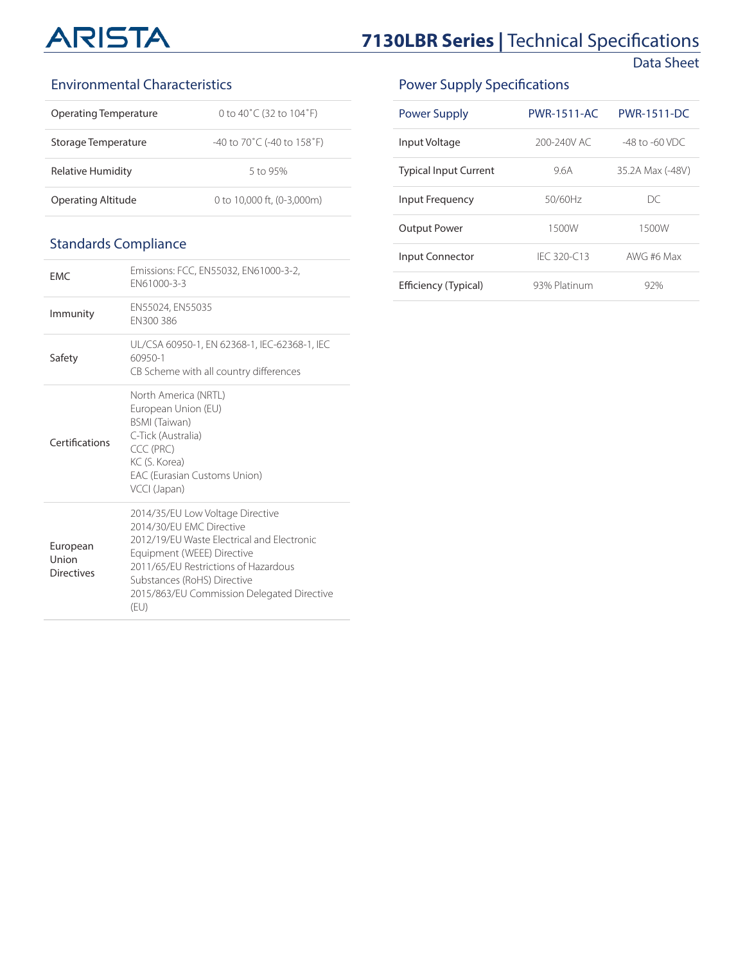# **7130LBR Series | Technical Specifications**

Data Sheet

#### Environmental Characteristics

| Operating Temperature | 0 to 40°C (32 to 104°F)                          |
|-----------------------|--------------------------------------------------|
| Storage Temperature   | $-40$ to 70 $\degree$ C (-40 to 158 $\degree$ F) |
| Relative Humidity     | 5 to 95%                                         |
| Operating Altitude    | 0 to 10,000 ft. (0-3,000m)                       |

## Standards Compliance

| <b>FMC</b>                             | Emissions: FCC, EN55032, EN61000-3-2,<br>FN61000-3-3                                                                                                                                                                                                                  |
|----------------------------------------|-----------------------------------------------------------------------------------------------------------------------------------------------------------------------------------------------------------------------------------------------------------------------|
| Immunity                               | EN55024, EN55035<br>EN300 386                                                                                                                                                                                                                                         |
| Safety                                 | UL/CSA 60950-1, EN 62368-1, IEC-62368-1, IEC<br>60950-1<br>CB Scheme with all country differences                                                                                                                                                                     |
| Certifications                         | North America (NRTL)<br>European Union (EU)<br><b>BSMI</b> (Taiwan)<br>C-Tick (Australia)<br>CCC (PRC)<br>KC (S. Korea)<br>EAC (Eurasian Customs Union)<br>VCCI (Japan)                                                                                               |
| European<br>Union<br><b>Directives</b> | 2014/35/EU Low Voltage Directive<br>2014/30/FU FMC Directive<br>2012/19/FU Waste Flectrical and Flectronic<br>Equipment (WEEE) Directive<br>2011/65/FU Restrictions of Hazardous<br>Substances (RoHS) Directive<br>2015/863/EU Commission Delegated Directive<br>(EU) |

# Power Supply Specifications

| <b>Power Supply</b>          | <b>PWR-1511-AC</b> | <b>PWR-1511-DC</b> |
|------------------------------|--------------------|--------------------|
| Input Voltage                | 200-240V AC        | $-48$ to $-60$ VDC |
| <b>Typical Input Current</b> | 96A                | 35.2A Max (-48V)   |
| Input Frequency              | 50/60Hz            | DС                 |
| <b>Output Power</b>          | 1500W              | 1500W              |
| Input Connector              | IFC 320-C13        | AWG #6 Max         |
| Efficiency (Typical)         | 93% Platinum       | 92%                |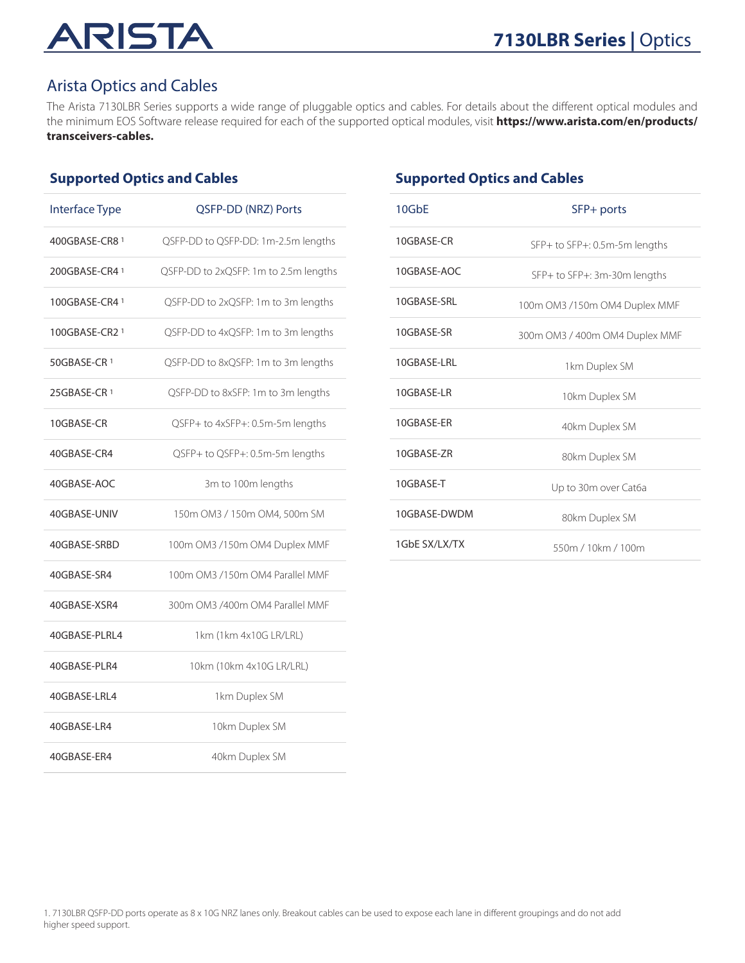#### Arista Optics and Cables

The Arista 7130LBR Series supports a wide range of pluggable optics and cables. For details about the different optical modules and the minimum EOS Software release required for each of the supported optical modules, visit **[https://www.arista.com/en/products/](https://www.arista.com/en/products/transceivers-cables) [transceivers-cables.](https://www.arista.com/en/products/transceivers-cables)**

#### **Supported Optics and Cables**

| <b>Interface Type</b> | QSFP-DD (NRZ) Ports                   |
|-----------------------|---------------------------------------|
| 400GBASE-CR8 1        | QSFP-DD to QSFP-DD: 1m-2.5m lengths   |
| 200GBASE-CR4 1        | QSFP-DD to 2xQSFP: 1m to 2.5m lengths |
| 100GBASE-CR4 1        | QSFP-DD to 2xQSFP: 1m to 3m lengths   |
| 100GBASE-CR2 1        | QSFP-DD to 4xQSFP: 1m to 3m lengths   |
| 50GBASE-CR 1          | QSFP-DD to 8xQSFP: 1m to 3m lengths   |
| 25GBASE-CR 1          | QSFP-DD to 8xSFP: 1m to 3m lengths    |
| 10GBASE-CR            | QSFP+ to 4xSFP+: 0.5m-5m lengths      |
| 40GBASE-CR4           | QSFP+ to QSFP+: 0.5m-5m lengths       |
| 40GBASE-AOC           | 3m to 100m lengths                    |
| 40GBASE-UNIV          | 150m OM3 / 150m OM4, 500m SM          |
| 40GBASE-SRBD          | 100m OM3 /150m OM4 Duplex MMF         |
| 40GBASE-SR4           | 100m OM3 /150m OM4 Parallel MMF       |
| 40GBASE-XSR4          | 300m OM3 /400m OM4 Parallel MMF       |
| 40GBASE-PLRL4         | 1km (1km 4x10G LR/LRL)                |
| 40GBASE-PLR4          | 10km (10km 4x10G LR/LRL)              |
| 40GBASE-LRL4          | 1km Duplex SM                         |
| 40GBASE-LR4           | 10km Duplex SM                        |
| 40GBASE-ER4           | 40km Duplex SM                        |

#### **Supported Optics and Cables**

| 10G <sub>b</sub> F | SFP+ ports                     |
|--------------------|--------------------------------|
| 10GBASE-CR         | SFP+ to SFP+: 0.5m-5m lengths  |
| 10GBASE-AOC        | SFP+ to SFP+: 3m-30m lengths   |
| 10GBASE-SRL        | 100m OM3 /150m OM4 Duplex MMF  |
| 10GBASE-SR         | 300m OM3 / 400m OM4 Duplex MMF |
| 10GBASF-LRL        | 1km Duplex SM                  |
| 10GBASF-LR         | 10km Duplex SM                 |
| 10GBASF-FR         | 40km Duplex SM                 |
| 10GBASE-ZR         | 80km Duplex SM                 |
| 10GBASE-T          | Up to 30m over Cat6a           |
| 10GBASE-DWDM       | 80km Duplex SM                 |
| 1GbF SX/LX/TX      | 550m / 10km / 100m             |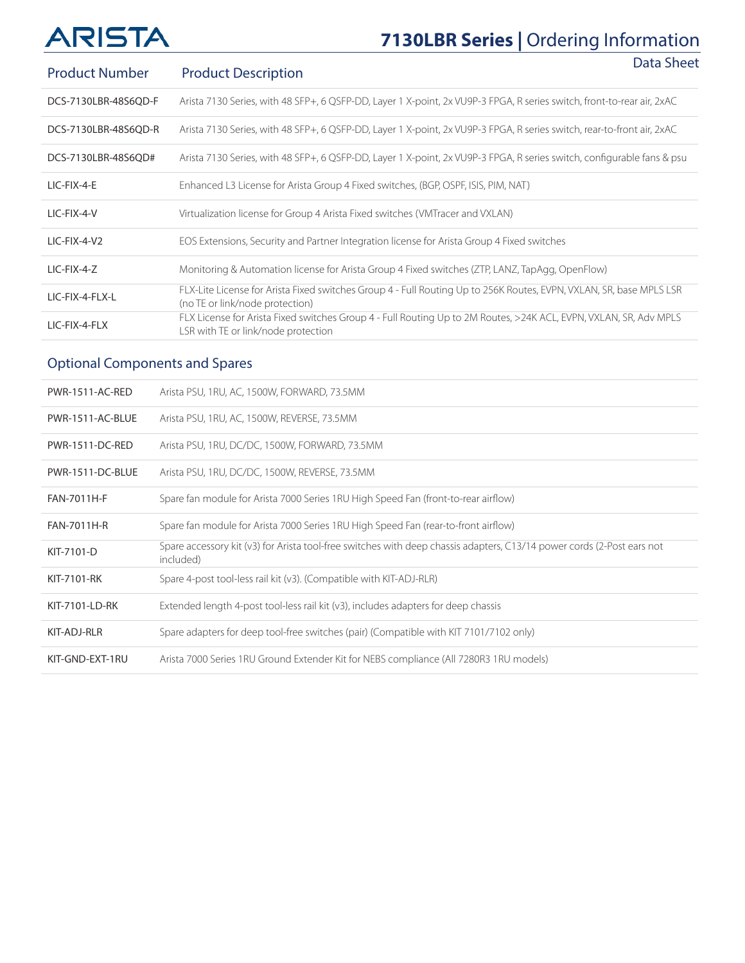# **7130LBR Series |** Ordering Information

| <b>Product Number</b> | Data Sheet<br><b>Product Description</b>                                                                                                                 |
|-----------------------|----------------------------------------------------------------------------------------------------------------------------------------------------------|
| DCS-7130LBR-48S6QD-F  | Arista 7130 Series, with 48 SFP+, 6 QSFP-DD, Layer 1 X-point, 2x VU9P-3 FPGA, R series switch, front-to-rear air, 2xAC                                   |
| DCS-7130LBR-48S6QD-R  | Arista 7130 Series, with 48 SFP+, 6 QSFP-DD, Layer 1 X-point, 2x VU9P-3 FPGA, R series switch, rear-to-front air, 2xAC                                   |
| DCS-7130LBR-48S6QD#   | Arista 7130 Series, with 48 SFP+, 6 QSFP-DD, Layer 1 X-point, 2x VU9P-3 FPGA, R series switch, configurable fans & psu                                   |
| LIC-FIX-4-E           | Enhanced L3 License for Arista Group 4 Fixed switches, (BGP, OSPF, ISIS, PIM, NAT)                                                                       |
| LIC-FIX-4-V           | Virtualization license for Group 4 Arista Fixed switches (VMTracer and VXLAN)                                                                            |
| LIC-FIX-4-V2          | EOS Extensions, Security and Partner Integration license for Arista Group 4 Fixed switches                                                               |
| LIC-FIX-4-Z           | Monitoring & Automation license for Arista Group 4 Fixed switches (ZTP, LANZ, TapAgg, OpenFlow)                                                          |
| LIC-FIX-4-FLX-L       | FLX-Lite License for Arista Fixed switches Group 4 - Full Routing Up to 256K Routes, EVPN, VXLAN, SR, base MPLS LSR<br>(no TE or link/node protection)   |
| LIC-FIX-4-FLX         | FLX License for Arista Fixed switches Group 4 - Full Routing Up to 2M Routes, >24K ACL, EVPN, VXLAN, SR, Adv MPLS<br>LSR with TE or link/node protection |

# Optional Components and Spares

| PWR-1511-AC-RED    | Arista PSU, 1RU, AC, 1500W, FORWARD, 73.5MM                                                                                         |
|--------------------|-------------------------------------------------------------------------------------------------------------------------------------|
| PWR-1511-AC-BLUE   | Arista PSU, 1RU, AC, 1500W, REVERSE, 73.5MM                                                                                         |
| PWR-1511-DC-RED    | Arista PSU, 1RU, DC/DC, 1500W, FORWARD, 73.5MM                                                                                      |
| PWR-1511-DC-BLUE   | Arista PSU, 1RU, DC/DC, 1500W, REVERSE, 73.5MM                                                                                      |
| <b>FAN-7011H-F</b> | Spare fan module for Arista 7000 Series 1RU High Speed Fan (front-to-rear airflow)                                                  |
| <b>FAN-7011H-R</b> | Spare fan module for Arista 7000 Series 1RU High Speed Fan (rear-to-front airflow)                                                  |
| KIT-7101-D         | Spare accessory kit (v3) for Arista tool-free switches with deep chassis adapters, C13/14 power cords (2-Post ears not<br>included) |
| KIT-7101-RK        | Spare 4-post tool-less rail kit (v3). (Compatible with KIT-ADJ-RLR)                                                                 |
| KIT-7101-LD-RK     | Extended length 4-post tool-less rail kit $(v3)$ , includes adapters for deep chassis                                               |
| KIT-ADJ-RLR        | Spare adapters for deep tool-free switches (pair) (Compatible with KIT 7101/7102 only)                                              |
| KIT-GND-EXT-1RU    | Arista 7000 Series 1RU Ground Extender Kit for NEBS compliance (All 7280R3 1RU models)                                              |